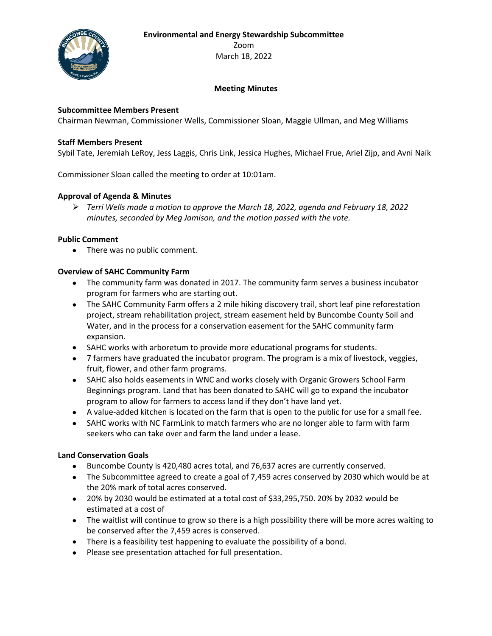**Environmental and Energy Stewardship Subcommittee**



Zoom March 18, 2022

## **Meeting Minutes**

## **Subcommittee Members Present**

Chairman Newman, Commissioner Wells, Commissioner Sloan, Maggie Ullman, and Meg Williams

### **Staff Members Present**

Sybil Tate, Jeremiah LeRoy, Jess Laggis, Chris Link, Jessica Hughes, Michael Frue, Ariel Zijp, and Avni Naik

Commissioner Sloan called the meeting to order at 10:01am.

## **Approval of Agenda & Minutes**

➢ *Terri Wells made a motion to approve the March 18, 2022, agenda and February 18, 2022 minutes, seconded by Meg Jamison, and the motion passed with the vote.* 

#### **Public Comment**

• There was no public comment.

### **Overview of SAHC Community Farm**

- The community farm was donated in 2017. The community farm serves a business incubator program for farmers who are starting out.
- The SAHC Community Farm offers a 2 mile hiking discovery trail, short leaf pine reforestation project, stream rehabilitation project, stream easement held by Buncombe County Soil and Water, and in the process for a conservation easement for the SAHC community farm expansion.
- SAHC works with arboretum to provide more educational programs for students.
- 7 farmers have graduated the incubator program. The program is a mix of livestock, veggies, fruit, flower, and other farm programs.
- SAHC also holds easements in WNC and works closely with Organic Growers School Farm Beginnings program. Land that has been donated to SAHC will go to expand the incubator program to allow for farmers to access land if they don't have land yet.
- A value-added kitchen is located on the farm that is open to the public for use for a small fee.
- SAHC works with NC FarmLink to match farmers who are no longer able to farm with farm seekers who can take over and farm the land under a lease.

#### **Land Conservation Goals**

- Buncombe County is 420,480 acres total, and 76,637 acres are currently conserved.
- The Subcommittee agreed to create a goal of 7,459 acres conserved by 2030 which would be at the 20% mark of total acres conserved.
- 20% by 2030 would be estimated at a total cost of \$33,295,750. 20% by 2032 would be estimated at a cost of
- The waitlist will continue to grow so there is a high possibility there will be more acres waiting to be conserved after the 7,459 acres is conserved.
- There is a feasibility test happening to evaluate the possibility of a bond.
- Please see presentation attached for full presentation.